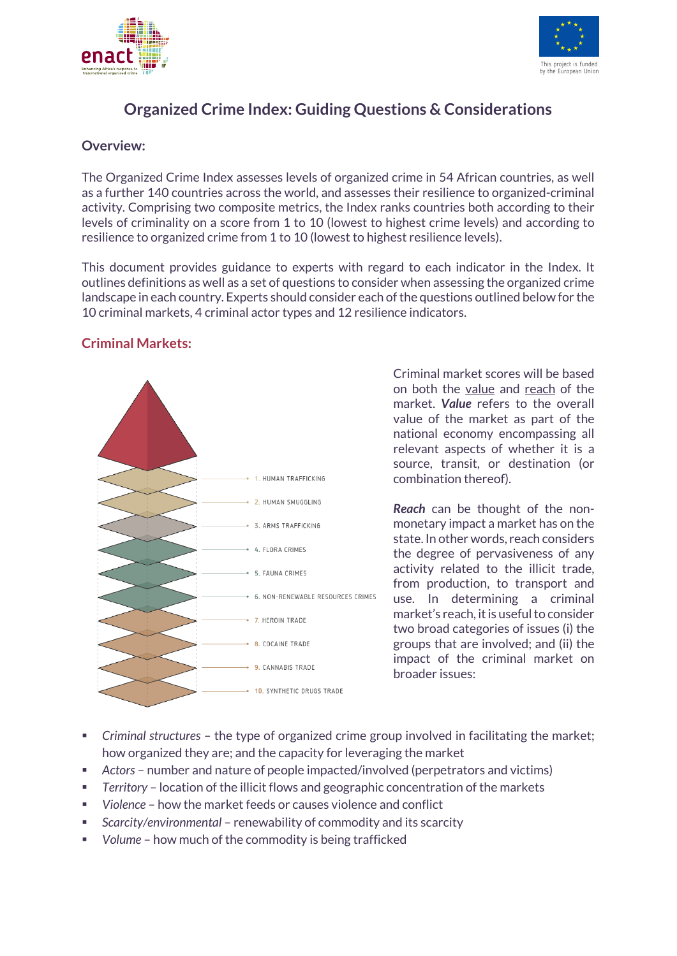



# **Organized Crime Index: Guiding Questions & Considerations**

### **Overview:**

The Organized Crime Index assesses levels of organized crime in 54 African countries, as well as a further 140 countries across the world, and assesses their resilience to organized-criminal activity. Comprising two composite metrics, the Index ranks countries both according to their levels of criminality on a score from 1 to 10 (lowest to highest crime levels) and according to resilience to organized crime from 1 to 10 (lowest to highest resilience levels).

This document provides guidance to experts with regard to each indicator in the Index. It outlines definitions as well as a set of questions to consider when assessing the organized crime landscape in each country. Experts should consider each of the questions outlined below for the 10 criminal markets, 4 criminal actor types and 12 resilience indicators.

## **Criminal Markets:**



Criminal market scores will be based on both the value and reach of the market. *Value* refers to the overall value of the market as part of the national economy encompassing all relevant aspects of whether it is a source, transit, or destination (or combination thereof).

*Reach* can be thought of the nonmonetary impact a market has on the state. In other words, reach considers the degree of pervasiveness of any activity related to the illicit trade, from production, to transport and use. In determining a criminal market's reach, it is useful to consider two broad categories of issues (i) the groups that are involved; and (ii) the impact of the criminal market on broader issues:

- § *Criminal structures* the type of organized crime group involved in facilitating the market; how organized they are; and the capacity for leveraging the market
- § *Actors* number and nature of people impacted/involved (perpetrators and victims)
- § *Territory* location of the illicit flows and geographic concentration of the markets
- § *Violence* how the market feeds or causes violence and conflict
- § *Scarcity/environmental* renewability of commodity and its scarcity
- § *Volume* how much of the commodity is being trafficked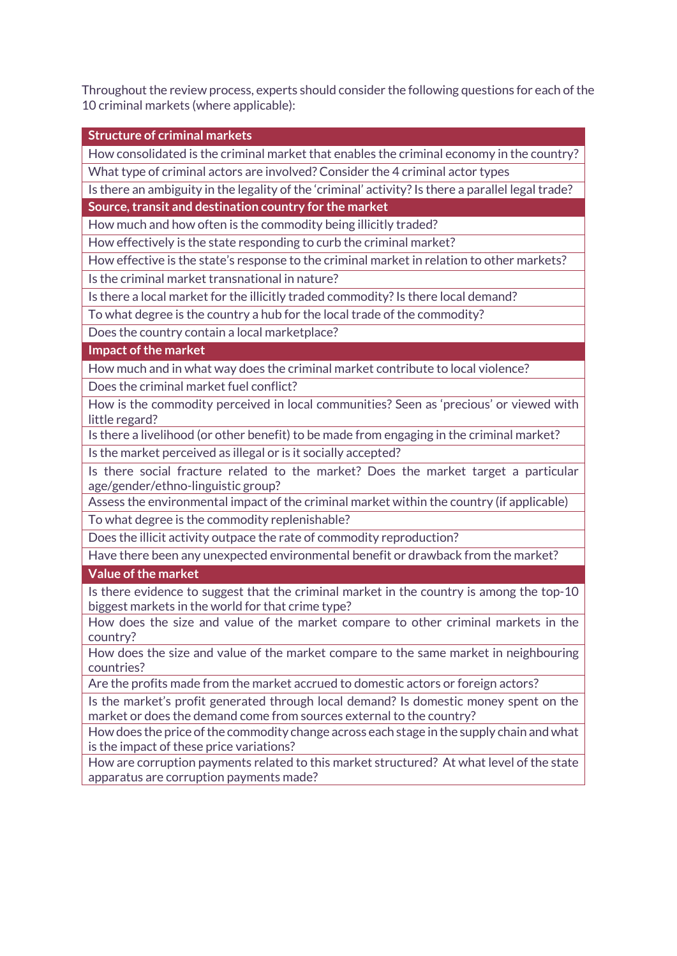Throughout the review process, experts should consider the following questions for each of the 10 criminal markets (where applicable):

**Structure of criminal markets** How consolidated is the criminal market that enables the criminal economy in the country? What type of criminal actors are involved? Consider the 4 criminal actor types Is there an ambiguity in the legality of the 'criminal' activity? Is there a parallel legal trade? **Source, transit and destination country for the market** How much and how often is the commodity being illicitly traded? How effectively is the state responding to curb the criminal market? How effective is the state's response to the criminal market in relation to other markets? Is the criminal market transnational in nature? Is there a local market for the illicitly traded commodity? Is there local demand? To what degree is the country a hub for the local trade of the commodity? Does the country contain a local marketplace? **Impact of the market** How much and in what way does the criminal market contribute to local violence? Does the criminal market fuel conflict? How is the commodity perceived in local communities? Seen as 'precious' or viewed with little regard? Is there a livelihood (or other benefit) to be made from engaging in the criminal market? Is the market perceived as illegal or is it socially accepted? Is there social fracture related to the market? Does the market target a particular age/gender/ethno-linguistic group? Assess the environmental impact of the criminal market within the country (if applicable) To what degree is the commodity replenishable? Does the illicit activity outpace the rate of commodity reproduction? Have there been any unexpected environmental benefit or drawback from the market? **Value of the market** Is there evidence to suggest that the criminal market in the country is among the top-10 biggest markets in the world for that crime type? How does the size and value of the market compare to other criminal markets in the country? How does the size and value of the market compare to the same market in neighbouring countries? Are the profits made from the market accrued to domestic actors or foreign actors? Is the market's profit generated through local demand? Is domestic money spent on the market or does the demand come from sources external to the country? How does the price of the commodity change across each stage in the supply chain and what is the impact of these price variations? How are corruption payments related to this market structured? At what level of the state apparatus are corruption payments made?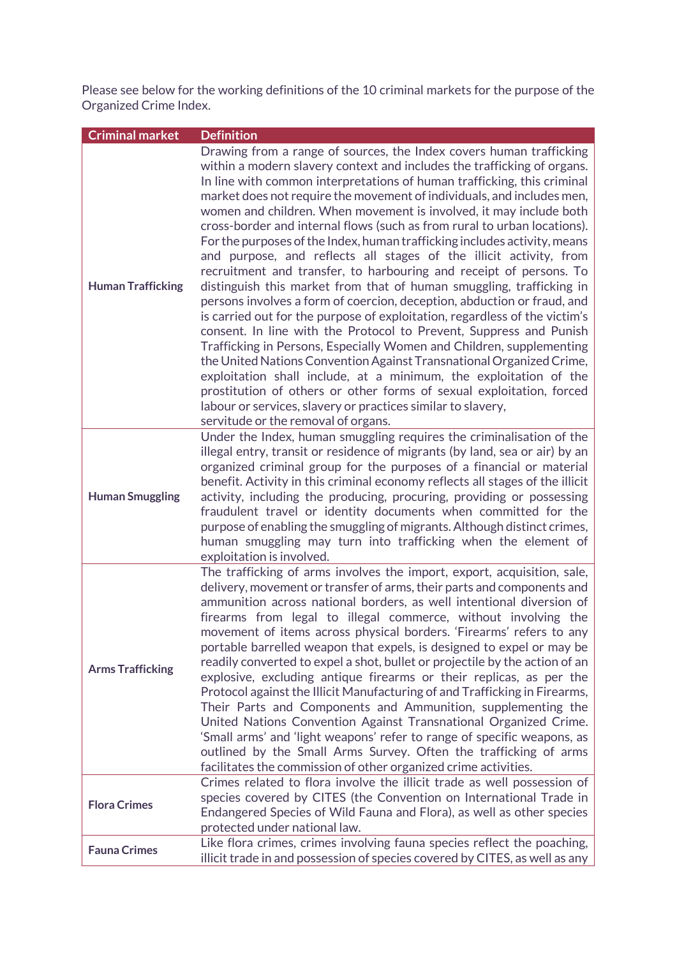Please see below for the working definitions of the 10 criminal markets for the purpose of the Organized Crime Index.

| <b>Criminal market</b>   | <b>Definition</b>                                                                                                                                                                                                                                                                                                                                                                                                                                                                                                                                                                                                                                                                                                                                                                                                                                                                                                                                                                                                                                                                                                                                                                                                                                                                                                                                                                         |
|--------------------------|-------------------------------------------------------------------------------------------------------------------------------------------------------------------------------------------------------------------------------------------------------------------------------------------------------------------------------------------------------------------------------------------------------------------------------------------------------------------------------------------------------------------------------------------------------------------------------------------------------------------------------------------------------------------------------------------------------------------------------------------------------------------------------------------------------------------------------------------------------------------------------------------------------------------------------------------------------------------------------------------------------------------------------------------------------------------------------------------------------------------------------------------------------------------------------------------------------------------------------------------------------------------------------------------------------------------------------------------------------------------------------------------|
| <b>Human Trafficking</b> | Drawing from a range of sources, the Index covers human trafficking<br>within a modern slavery context and includes the trafficking of organs.<br>In line with common interpretations of human trafficking, this criminal<br>market does not require the movement of individuals, and includes men,<br>women and children. When movement is involved, it may include both<br>cross-border and internal flows (such as from rural to urban locations).<br>For the purposes of the Index, human trafficking includes activity, means<br>and purpose, and reflects all stages of the illicit activity, from<br>recruitment and transfer, to harbouring and receipt of persons. To<br>distinguish this market from that of human smuggling, trafficking in<br>persons involves a form of coercion, deception, abduction or fraud, and<br>is carried out for the purpose of exploitation, regardless of the victim's<br>consent. In line with the Protocol to Prevent, Suppress and Punish<br>Trafficking in Persons, Especially Women and Children, supplementing<br>the United Nations Convention Against Transnational Organized Crime,<br>exploitation shall include, at a minimum, the exploitation of the<br>prostitution of others or other forms of sexual exploitation, forced<br>labour or services, slavery or practices similar to slavery,<br>servitude or the removal of organs. |
| <b>Human Smuggling</b>   | Under the Index, human smuggling requires the criminalisation of the<br>illegal entry, transit or residence of migrants (by land, sea or air) by an<br>organized criminal group for the purposes of a financial or material<br>benefit. Activity in this criminal economy reflects all stages of the illicit<br>activity, including the producing, procuring, providing or possessing<br>fraudulent travel or identity documents when committed for the<br>purpose of enabling the smuggling of migrants. Although distinct crimes,<br>human smuggling may turn into trafficking when the element of<br>exploitation is involved.                                                                                                                                                                                                                                                                                                                                                                                                                                                                                                                                                                                                                                                                                                                                                         |
| <b>Arms Trafficking</b>  | The trafficking of arms involves the import, export, acquisition, sale,<br>delivery, movement or transfer of arms, their parts and components and<br>ammunition across national borders, as well intentional diversion of<br>firearms from legal to illegal commerce, without involving the<br>movement of items across physical borders. 'Firearms' refers to any<br>portable barrelled weapon that expels, is designed to expel or may be<br>readily converted to expel a shot, bullet or projectile by the action of an<br>explosive, excluding antique firearms or their replicas, as per the<br>Protocol against the Illicit Manufacturing of and Trafficking in Firearms,<br>Their Parts and Components and Ammunition, supplementing the<br>United Nations Convention Against Transnational Organized Crime.<br>'Small arms' and 'light weapons' refer to range of specific weapons, as<br>outlined by the Small Arms Survey. Often the trafficking of arms<br>facilitates the commission of other organized crime activities.                                                                                                                                                                                                                                                                                                                                                     |
| <b>Flora Crimes</b>      | Crimes related to flora involve the illicit trade as well possession of<br>species covered by CITES (the Convention on International Trade in<br>Endangered Species of Wild Fauna and Flora), as well as other species<br>protected under national law.                                                                                                                                                                                                                                                                                                                                                                                                                                                                                                                                                                                                                                                                                                                                                                                                                                                                                                                                                                                                                                                                                                                                   |
| <b>Fauna Crimes</b>      | Like flora crimes, crimes involving fauna species reflect the poaching,<br>illicit trade in and possession of species covered by CITES, as well as any                                                                                                                                                                                                                                                                                                                                                                                                                                                                                                                                                                                                                                                                                                                                                                                                                                                                                                                                                                                                                                                                                                                                                                                                                                    |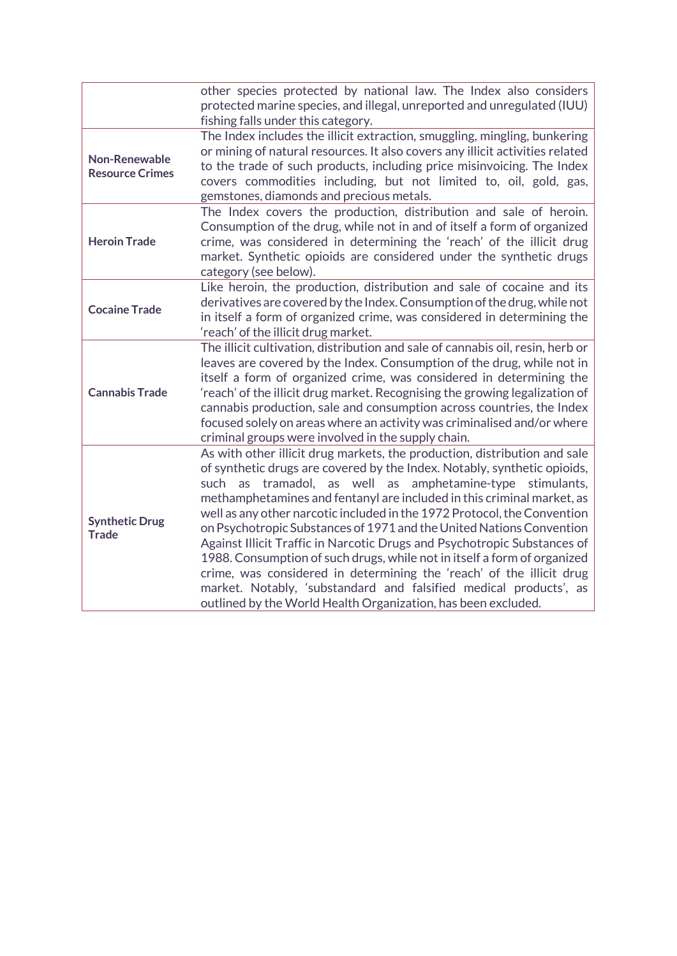|                                                | other species protected by national law. The Index also considers<br>protected marine species, and illegal, unreported and unregulated (IUU)<br>fishing falls under this category.                                                                                                                                                                                                                                                                                                                                                                                                                                                                                                                                                                                                                                           |  |  |
|------------------------------------------------|------------------------------------------------------------------------------------------------------------------------------------------------------------------------------------------------------------------------------------------------------------------------------------------------------------------------------------------------------------------------------------------------------------------------------------------------------------------------------------------------------------------------------------------------------------------------------------------------------------------------------------------------------------------------------------------------------------------------------------------------------------------------------------------------------------------------------|--|--|
| <b>Non-Renewable</b><br><b>Resource Crimes</b> | The Index includes the illicit extraction, smuggling, mingling, bunkering<br>or mining of natural resources. It also covers any illicit activities related<br>to the trade of such products, including price misinvoicing. The Index<br>covers commodities including, but not limited to, oil, gold, gas,<br>gemstones, diamonds and precious metals.                                                                                                                                                                                                                                                                                                                                                                                                                                                                        |  |  |
| <b>Heroin Trade</b>                            | The Index covers the production, distribution and sale of heroin.<br>Consumption of the drug, while not in and of itself a form of organized<br>crime, was considered in determining the 'reach' of the illicit drug<br>market. Synthetic opioids are considered under the synthetic drugs<br>category (see below).                                                                                                                                                                                                                                                                                                                                                                                                                                                                                                          |  |  |
| <b>Cocaine Trade</b>                           | Like heroin, the production, distribution and sale of cocaine and its<br>derivatives are covered by the Index. Consumption of the drug, while not<br>in itself a form of organized crime, was considered in determining the<br>'reach' of the illicit drug market.                                                                                                                                                                                                                                                                                                                                                                                                                                                                                                                                                           |  |  |
| <b>Cannabis Trade</b>                          | The illicit cultivation, distribution and sale of cannabis oil, resin, herb or<br>leaves are covered by the Index. Consumption of the drug, while not in<br>itself a form of organized crime, was considered in determining the<br>'reach' of the illicit drug market. Recognising the growing legalization of<br>cannabis production, sale and consumption across countries, the Index<br>focused solely on areas where an activity was criminalised and/or where<br>criminal groups were involved in the supply chain.                                                                                                                                                                                                                                                                                                     |  |  |
| <b>Synthetic Drug</b><br><b>Trade</b>          | As with other illicit drug markets, the production, distribution and sale<br>of synthetic drugs are covered by the Index. Notably, synthetic opioids,<br>tramadol, as well as amphetamine-type<br>such as<br>stimulants,<br>methamphetamines and fentanyl are included in this criminal market, as<br>well as any other narcotic included in the 1972 Protocol, the Convention<br>on Psychotropic Substances of 1971 and the United Nations Convention<br>Against Illicit Traffic in Narcotic Drugs and Psychotropic Substances of<br>1988. Consumption of such drugs, while not in itself a form of organized<br>crime, was considered in determining the 'reach' of the illicit drug<br>market. Notably, 'substandard and falsified medical products', as<br>outlined by the World Health Organization, has been excluded. |  |  |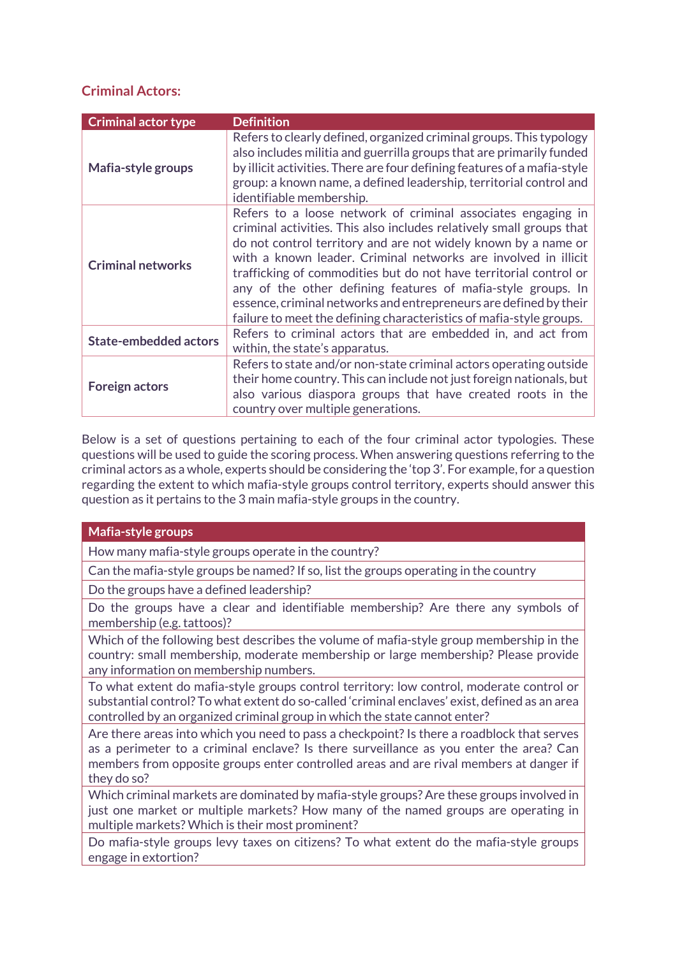## **Criminal Actors:**

| <b>Criminal actor type</b>   | <b>Definition</b>                                                                                                                                                                                                                                                                                                                                                                                                                                                                                                                                         |  |
|------------------------------|-----------------------------------------------------------------------------------------------------------------------------------------------------------------------------------------------------------------------------------------------------------------------------------------------------------------------------------------------------------------------------------------------------------------------------------------------------------------------------------------------------------------------------------------------------------|--|
| Mafia-style groups           | Refers to clearly defined, organized criminal groups. This typology<br>also includes militia and guerrilla groups that are primarily funded<br>by illicit activities. There are four defining features of a mafia-style<br>group: a known name, a defined leadership, territorial control and<br>identifiable membership.                                                                                                                                                                                                                                 |  |
| <b>Criminal networks</b>     | Refers to a loose network of criminal associates engaging in<br>criminal activities. This also includes relatively small groups that<br>do not control territory and are not widely known by a name or<br>with a known leader. Criminal networks are involved in illicit<br>trafficking of commodities but do not have territorial control or<br>any of the other defining features of mafia-style groups. In<br>essence, criminal networks and entrepreneurs are defined by their<br>failure to meet the defining characteristics of mafia-style groups. |  |
| <b>State-embedded actors</b> | Refers to criminal actors that are embedded in, and act from<br>within, the state's apparatus.                                                                                                                                                                                                                                                                                                                                                                                                                                                            |  |
| <b>Foreign actors</b>        | Refers to state and/or non-state criminal actors operating outside<br>their home country. This can include not just foreign nationals, but<br>also various diaspora groups that have created roots in the<br>country over multiple generations.                                                                                                                                                                                                                                                                                                           |  |

Below is a set of questions pertaining to each of the four criminal actor typologies. These questions will be used to guide the scoring process. When answering questions referring to the criminal actors as a whole, experts should be considering the 'top 3'. For example, for a question regarding the extent to which mafia-style groups control territory, experts should answer this question as it pertains to the 3 main mafia-style groups in the country.

#### **Mafia-style groups**

How many mafia-style groups operate in the country?

Can the mafia-style groups be named? If so, list the groups operating in the country

Do the groups have a defined leadership?

Do the groups have a clear and identifiable membership? Are there any symbols of membership (e.g. tattoos)?

Which of the following best describes the volume of mafia-style group membership in the country: small membership, moderate membership or large membership? Please provide any information on membership numbers.

To what extent do mafia-style groups control territory: low control, moderate control or substantial control? To what extent do so-called 'criminal enclaves' exist, defined as an area controlled by an organized criminal group in which the state cannot enter?

Are there areas into which you need to pass a checkpoint? Is there a roadblock that serves as a perimeter to a criminal enclave? Is there surveillance as you enter the area? Can members from opposite groups enter controlled areas and are rival members at danger if they do so?

Which criminal markets are dominated by mafia-style groups? Are these groups involved in just one market or multiple markets? How many of the named groups are operating in multiple markets? Which is their most prominent?

Do mafia-style groups levy taxes on citizens? To what extent do the mafia-style groups engage in extortion?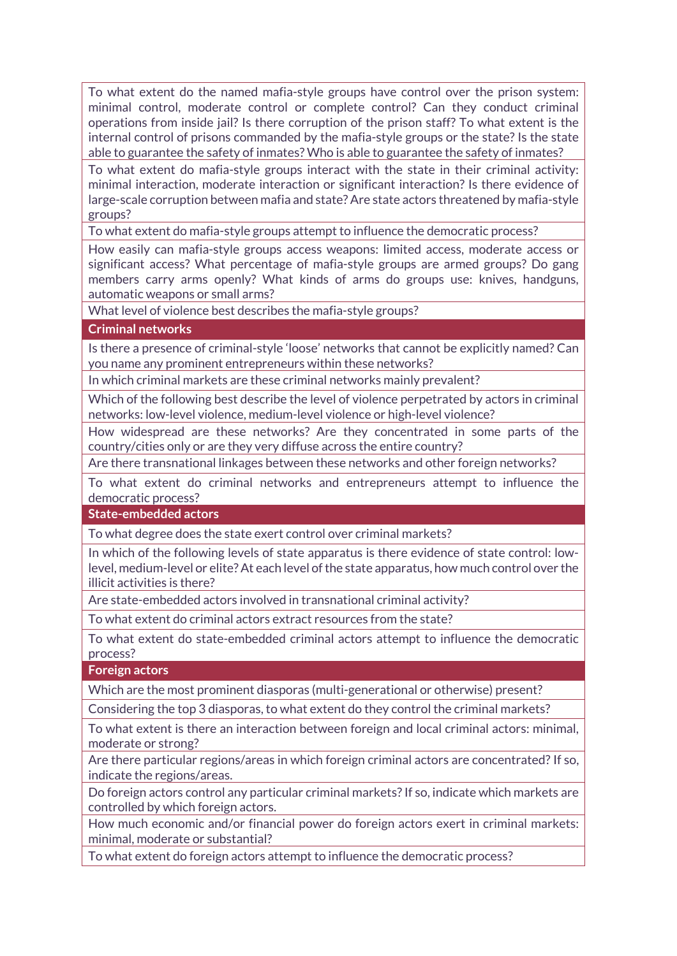To what extent do the named mafia-style groups have control over the prison system: minimal control, moderate control or complete control? Can they conduct criminal operations from inside jail? Is there corruption of the prison staff? To what extent is the internal control of prisons commanded by the mafia-style groups or the state? Is the state able to guarantee the safety of inmates? Who is able to guarantee the safety of inmates?

To what extent do mafia-style groups interact with the state in their criminal activity: minimal interaction, moderate interaction or significant interaction? Is there evidence of large-scale corruption between mafia and state? Are state actors threatened by mafia-style groups?

To what extent do mafia-style groups attempt to influence the democratic process?

How easily can mafia-style groups access weapons: limited access, moderate access or significant access? What percentage of mafia-style groups are armed groups? Do gang members carry arms openly? What kinds of arms do groups use: knives, handguns, automatic weapons or small arms?

What level of violence best describes the mafia-style groups?

**Criminal networks**

Is there a presence of criminal-style 'loose' networks that cannot be explicitly named? Can you name any prominent entrepreneurs within these networks?

In which criminal markets are these criminal networks mainly prevalent?

Which of the following best describe the level of violence perpetrated by actors in criminal networks: low-level violence, medium-level violence or high-level violence?

How widespread are these networks? Are they concentrated in some parts of the country/cities only or are they very diffuse across the entire country?

Are there transnational linkages between these networks and other foreign networks?

To what extent do criminal networks and entrepreneurs attempt to influence the democratic process?

**State-embedded actors**

To what degree does the state exert control over criminal markets?

In which of the following levels of state apparatus is there evidence of state control: lowlevel, medium-level or elite? At each level of the state apparatus, how much control over the illicit activities is there?

Are state-embedded actors involved in transnational criminal activity?

To what extent do criminal actors extract resources from the state?

To what extent do state-embedded criminal actors attempt to influence the democratic process?

**Foreign actors**

Which are the most prominent diasporas (multi-generational or otherwise) present?

Considering the top 3 diasporas, to what extent do they control the criminal markets?

To what extent is there an interaction between foreign and local criminal actors: minimal, moderate or strong?

Are there particular regions/areas in which foreign criminal actors are concentrated? If so, indicate the regions/areas.

Do foreign actors control any particular criminal markets? If so, indicate which markets are controlled by which foreign actors.

How much economic and/or financial power do foreign actors exert in criminal markets: minimal, moderate or substantial?

To what extent do foreign actors attempt to influence the democratic process?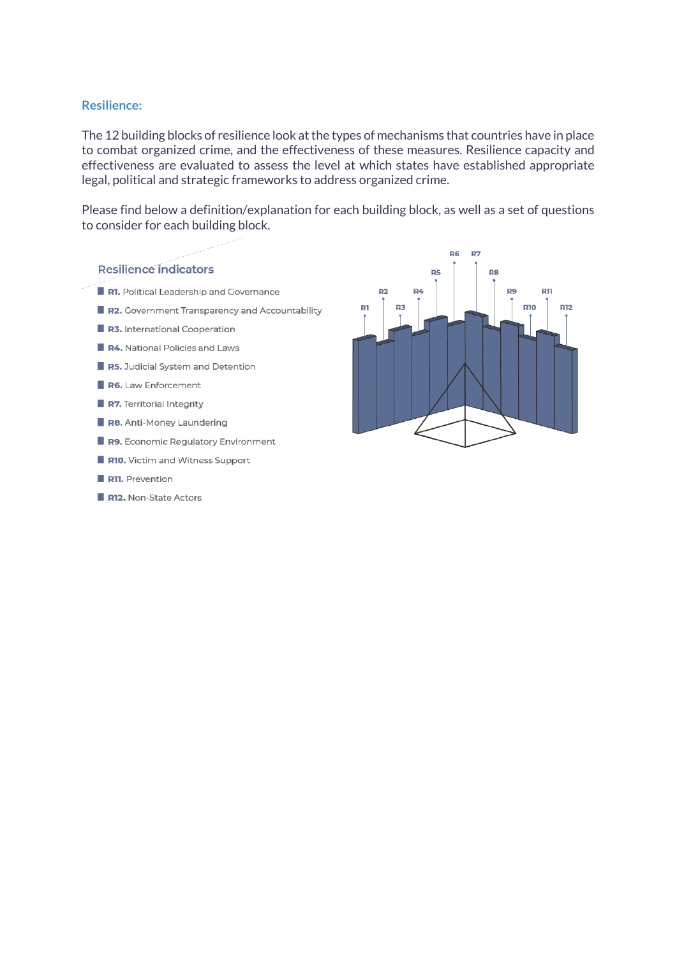#### **Resilience:**

The 12 building blocks of resilience look at the types of mechanisms that countries have in place to combat organized crime, and the effectiveness of these measures. Resilience capacity and effectiveness are evaluated to assess the level at which states have established appropriate legal, political and strategic frameworks to address organized crime.

Please find below a definition/explanation for each building block, as well as a set of questions to consider for each building block.



R12. Non-State Actors

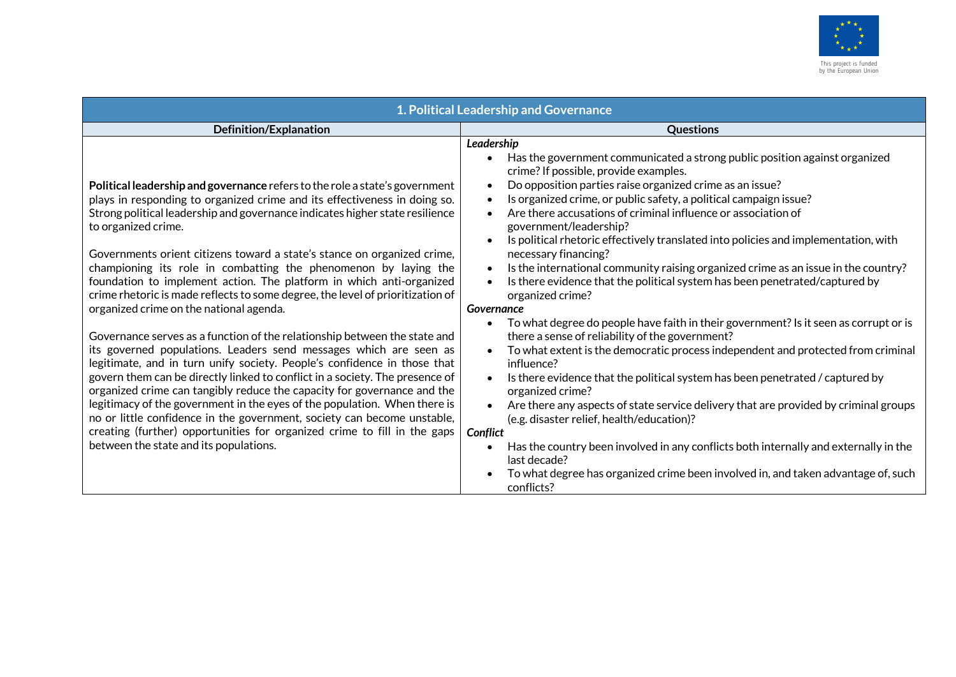

| 1. Political Leadership and Governance                                                                                                                                                                                                                                                                                                                                                                                                                                                                                                                                                                                                                                                                                                                                                                                                                                                                                                                                                                                                                                                                                                                                                                                                                                                    |                                                                                                                                                                                                                                                                                                                                                                                                                                                                                                                                                                                                                                                                                                                                                                                                                                                                                                                                                                                                                                                                                                                                                                                                                                                                                                                                                                                                                                                       |  |
|-------------------------------------------------------------------------------------------------------------------------------------------------------------------------------------------------------------------------------------------------------------------------------------------------------------------------------------------------------------------------------------------------------------------------------------------------------------------------------------------------------------------------------------------------------------------------------------------------------------------------------------------------------------------------------------------------------------------------------------------------------------------------------------------------------------------------------------------------------------------------------------------------------------------------------------------------------------------------------------------------------------------------------------------------------------------------------------------------------------------------------------------------------------------------------------------------------------------------------------------------------------------------------------------|-------------------------------------------------------------------------------------------------------------------------------------------------------------------------------------------------------------------------------------------------------------------------------------------------------------------------------------------------------------------------------------------------------------------------------------------------------------------------------------------------------------------------------------------------------------------------------------------------------------------------------------------------------------------------------------------------------------------------------------------------------------------------------------------------------------------------------------------------------------------------------------------------------------------------------------------------------------------------------------------------------------------------------------------------------------------------------------------------------------------------------------------------------------------------------------------------------------------------------------------------------------------------------------------------------------------------------------------------------------------------------------------------------------------------------------------------------|--|
| <b>Definition/Explanation</b>                                                                                                                                                                                                                                                                                                                                                                                                                                                                                                                                                                                                                                                                                                                                                                                                                                                                                                                                                                                                                                                                                                                                                                                                                                                             | <b>Questions</b>                                                                                                                                                                                                                                                                                                                                                                                                                                                                                                                                                                                                                                                                                                                                                                                                                                                                                                                                                                                                                                                                                                                                                                                                                                                                                                                                                                                                                                      |  |
| Political leadership and governance refers to the role a state's government<br>plays in responding to organized crime and its effectiveness in doing so.<br>Strong political leadership and governance indicates higher state resilience<br>to organized crime.<br>Governments orient citizens toward a state's stance on organized crime,<br>championing its role in combatting the phenomenon by laying the<br>foundation to implement action. The platform in which anti-organized<br>crime rhetoric is made reflects to some degree, the level of prioritization of<br>organized crime on the national agenda.<br>Governance serves as a function of the relationship between the state and<br>its governed populations. Leaders send messages which are seen as<br>legitimate, and in turn unify society. People's confidence in those that<br>govern them can be directly linked to conflict in a society. The presence of<br>organized crime can tangibly reduce the capacity for governance and the<br>legitimacy of the government in the eyes of the population. When there is<br>no or little confidence in the government, society can become unstable,<br>creating (further) opportunities for organized crime to fill in the gaps<br>between the state and its populations. | Leadership<br>Has the government communicated a strong public position against organized<br>$\bullet$<br>crime? If possible, provide examples.<br>Do opposition parties raise organized crime as an issue?<br>Is organized crime, or public safety, a political campaign issue?<br>Are there accusations of criminal influence or association of<br>government/leadership?<br>Is political rhetoric effectively translated into policies and implementation, with<br>necessary financing?<br>Is the international community raising organized crime as an issue in the country?<br>$\bullet$<br>Is there evidence that the political system has been penetrated/captured by<br>organized crime?<br>Governance<br>To what degree do people have faith in their government? Is it seen as corrupt or is<br>there a sense of reliability of the government?<br>To what extent is the democratic process independent and protected from criminal<br>$\bullet$<br>influence?<br>Is there evidence that the political system has been penetrated / captured by<br>$\bullet$<br>organized crime?<br>Are there any aspects of state service delivery that are provided by criminal groups<br>(e.g. disaster relief, health/education)?<br>Conflict<br>Has the country been involved in any conflicts both internally and externally in the<br>last decade?<br>To what degree has organized crime been involved in, and taken advantage of, such<br>conflicts? |  |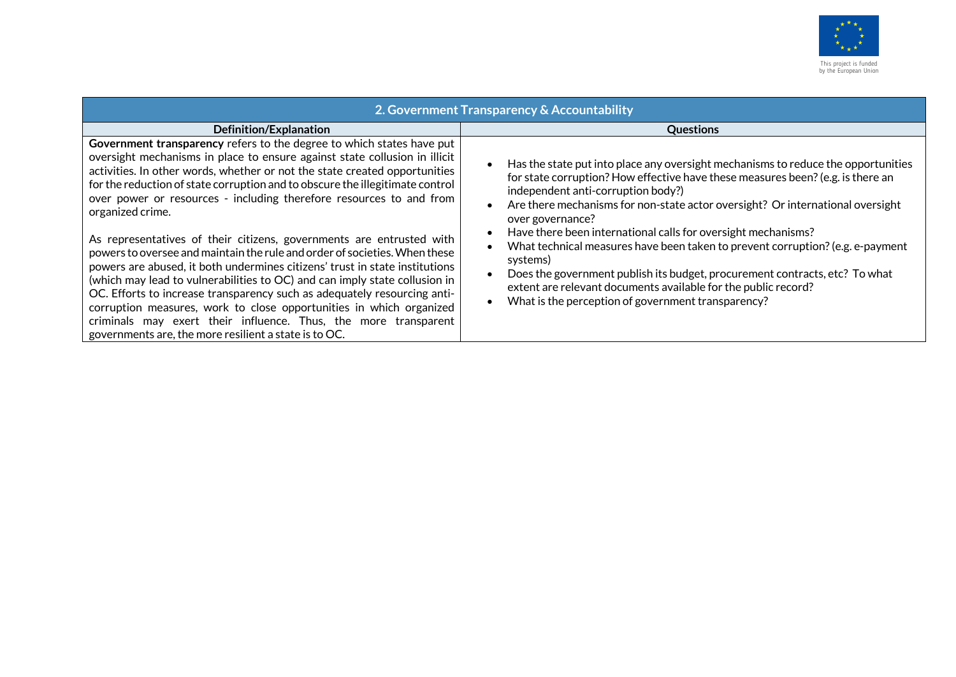

| 2. Government Transparency & Accountability                                                                                                                                                                                                                                                                                                                                                                                                                                                                                                                                                    |                                                                                                                                                                                                                                                                                                                                                                    |  |
|------------------------------------------------------------------------------------------------------------------------------------------------------------------------------------------------------------------------------------------------------------------------------------------------------------------------------------------------------------------------------------------------------------------------------------------------------------------------------------------------------------------------------------------------------------------------------------------------|--------------------------------------------------------------------------------------------------------------------------------------------------------------------------------------------------------------------------------------------------------------------------------------------------------------------------------------------------------------------|--|
| Definition/Explanation                                                                                                                                                                                                                                                                                                                                                                                                                                                                                                                                                                         | <b>Questions</b>                                                                                                                                                                                                                                                                                                                                                   |  |
| Government transparency refers to the degree to which states have put<br>oversight mechanisms in place to ensure against state collusion in illicit<br>activities. In other words, whether or not the state created opportunities<br>for the reduction of state corruption and to obscure the illegitimate control<br>over power or resources - including therefore resources to and from<br>organized crime.                                                                                                                                                                                  | Has the state put into place any oversight mechanisms to reduce the opportunities<br>for state corruption? How effective have these measures been? (e.g. is there an<br>independent anti-corruption body?)<br>Are there mechanisms for non-state actor oversight? Or international oversight<br>over governance?                                                   |  |
| As representatives of their citizens, governments are entrusted with<br>powers to oversee and maintain the rule and order of societies. When these<br>powers are abused, it both undermines citizens' trust in state institutions<br>(which may lead to vulnerabilities to OC) and can imply state collusion in<br>OC. Efforts to increase transparency such as adequately resourcing anti-<br>corruption measures, work to close opportunities in which organized<br>criminals may exert their influence. Thus, the more transparent<br>governments are, the more resilient a state is to OC. | Have there been international calls for oversight mechanisms?<br>What technical measures have been taken to prevent corruption? (e.g. e-payment<br>systems)<br>Does the government publish its budget, procurement contracts, etc? To what<br>extent are relevant documents available for the public record?<br>What is the perception of government transparency? |  |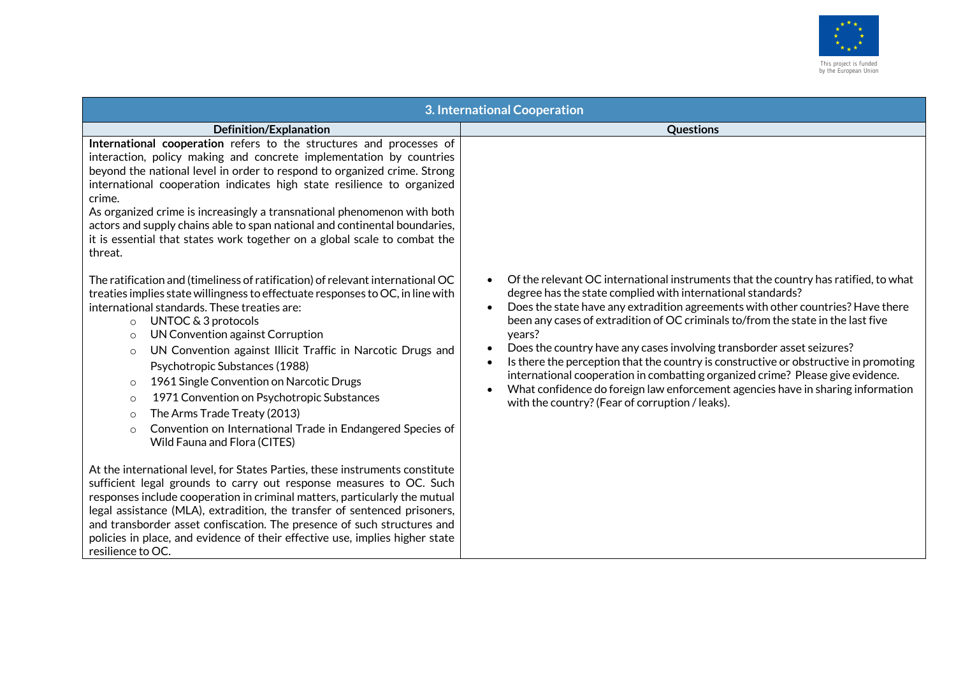

| 3. International Cooperation                                                                                                                                                                                                                                                                                                                                                                                                                                                                                                                                                                                                                                                      |                                                                                                                                                                                                                                                                                                                                                                                                                                                                                                                                                                                                                                                                                                                              |  |
|-----------------------------------------------------------------------------------------------------------------------------------------------------------------------------------------------------------------------------------------------------------------------------------------------------------------------------------------------------------------------------------------------------------------------------------------------------------------------------------------------------------------------------------------------------------------------------------------------------------------------------------------------------------------------------------|------------------------------------------------------------------------------------------------------------------------------------------------------------------------------------------------------------------------------------------------------------------------------------------------------------------------------------------------------------------------------------------------------------------------------------------------------------------------------------------------------------------------------------------------------------------------------------------------------------------------------------------------------------------------------------------------------------------------------|--|
| <b>Definition/Explanation</b>                                                                                                                                                                                                                                                                                                                                                                                                                                                                                                                                                                                                                                                     | <b>Questions</b>                                                                                                                                                                                                                                                                                                                                                                                                                                                                                                                                                                                                                                                                                                             |  |
| International cooperation refers to the structures and processes of<br>interaction, policy making and concrete implementation by countries<br>beyond the national level in order to respond to organized crime. Strong<br>international cooperation indicates high state resilience to organized<br>crime.<br>As organized crime is increasingly a transnational phenomenon with both<br>actors and supply chains able to span national and continental boundaries,<br>it is essential that states work together on a global scale to combat the<br>threat.                                                                                                                       |                                                                                                                                                                                                                                                                                                                                                                                                                                                                                                                                                                                                                                                                                                                              |  |
| The ratification and (timeliness of ratification) of relevant international OC<br>treaties implies state willingness to effectuate responses to OC, in line with<br>international standards. These treaties are:<br>UNTOC & 3 protocols<br>$\circ$<br>UN Convention against Corruption<br>$\circ$<br>UN Convention against Illicit Traffic in Narcotic Drugs and<br>$\circ$<br>Psychotropic Substances (1988)<br>1961 Single Convention on Narcotic Drugs<br>$\circ$<br>1971 Convention on Psychotropic Substances<br>$\circ$<br>The Arms Trade Treaty (2013)<br>$\circ$<br>Convention on International Trade in Endangered Species of<br>$\circ$<br>Wild Fauna and Flora (CITES) | Of the relevant OC international instruments that the country has ratified, to what<br>degree has the state complied with international standards?<br>Does the state have any extradition agreements with other countries? Have there<br>been any cases of extradition of OC criminals to/from the state in the last five<br>years?<br>Does the country have any cases involving transborder asset seizures?<br>Is there the perception that the country is constructive or obstructive in promoting<br>international cooperation in combatting organized crime? Please give evidence.<br>What confidence do foreign law enforcement agencies have in sharing information<br>with the country? (Fear of corruption / leaks). |  |
| At the international level, for States Parties, these instruments constitute<br>sufficient legal grounds to carry out response measures to OC. Such<br>responses include cooperation in criminal matters, particularly the mutual<br>legal assistance (MLA), extradition, the transfer of sentenced prisoners,<br>and transborder asset confiscation. The presence of such structures and<br>policies in place, and evidence of their effective use, implies higher state<br>resilience to OC.                                                                                                                                                                                    |                                                                                                                                                                                                                                                                                                                                                                                                                                                                                                                                                                                                                                                                                                                              |  |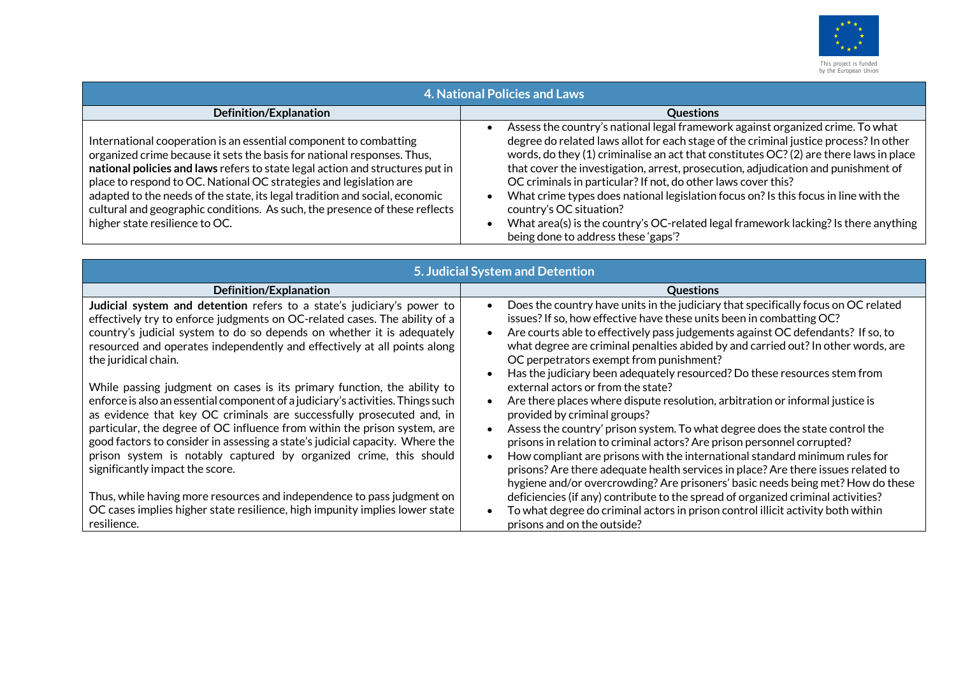

| <b>4. National Policies and Laws</b>                                                                                                                                                                                                                                                                                                                                                                                                                                                                |                                                                                                                                                                                                                                                                                                                                                                                                                                                                                                                                                                                                                                                                         |  |
|-----------------------------------------------------------------------------------------------------------------------------------------------------------------------------------------------------------------------------------------------------------------------------------------------------------------------------------------------------------------------------------------------------------------------------------------------------------------------------------------------------|-------------------------------------------------------------------------------------------------------------------------------------------------------------------------------------------------------------------------------------------------------------------------------------------------------------------------------------------------------------------------------------------------------------------------------------------------------------------------------------------------------------------------------------------------------------------------------------------------------------------------------------------------------------------------|--|
| Definition/Explanation                                                                                                                                                                                                                                                                                                                                                                                                                                                                              | <b>Questions</b>                                                                                                                                                                                                                                                                                                                                                                                                                                                                                                                                                                                                                                                        |  |
| International cooperation is an essential component to combatting<br>organized crime because it sets the basis for national responses. Thus,<br>national policies and laws refers to state legal action and structures put in<br>place to respond to OC. National OC strategies and legislation are<br>adapted to the needs of the state, its legal tradition and social, economic<br>cultural and geographic conditions. As such, the presence of these reflects<br>higher state resilience to OC. | Assess the country's national legal framework against organized crime. To what<br>degree do related laws allot for each stage of the criminal justice process? In other<br>words, do they (1) criminalise an act that constitutes OC? (2) are there laws in place<br>that cover the investigation, arrest, prosecution, adjudication and punishment of<br>OC criminals in particular? If not, do other laws cover this?<br>What crime types does national legislation focus on? Is this focus in line with the<br>country's OC situation?<br>What area(s) is the country's OC-related legal framework lacking? Is there anything<br>being done to address these 'gaps'? |  |

| 5. Judicial System and Detention                                                                                                                                                                                                                                                                                                   |                                                                                                                                                                                                                                                                                                                                                                               |  |
|------------------------------------------------------------------------------------------------------------------------------------------------------------------------------------------------------------------------------------------------------------------------------------------------------------------------------------|-------------------------------------------------------------------------------------------------------------------------------------------------------------------------------------------------------------------------------------------------------------------------------------------------------------------------------------------------------------------------------|--|
| <b>Definition/Explanation</b>                                                                                                                                                                                                                                                                                                      | <b>Questions</b>                                                                                                                                                                                                                                                                                                                                                              |  |
| Judicial system and detention refers to a state's judiciary's power to<br>effectively try to enforce judgments on OC-related cases. The ability of a<br>country's judicial system to do so depends on whether it is adequately<br>resourced and operates independently and effectively at all points along<br>the juridical chain. | Does the country have units in the judiciary that specifically focus on OC related<br>issues? If so, how effective have these units been in combatting OC?<br>Are courts able to effectively pass judgements against OC defendants? If so, to<br>what degree are criminal penalties abided by and carried out? In other words, are<br>OC perpetrators exempt from punishment? |  |
| While passing judgment on cases is its primary function, the ability to                                                                                                                                                                                                                                                            | Has the judiciary been adequately resourced? Do these resources stem from<br>external actors or from the state?                                                                                                                                                                                                                                                               |  |
| enforce is also an essential component of a judiciary's activities. Things such<br>as evidence that key OC criminals are successfully prosecuted and, in                                                                                                                                                                           | Are there places where dispute resolution, arbitration or informal justice is<br>provided by criminal groups?                                                                                                                                                                                                                                                                 |  |
| particular, the degree of OC influence from within the prison system, are<br>good factors to consider in assessing a state's judicial capacity. Where the                                                                                                                                                                          | Assess the country' prison system. To what degree does the state control the<br>prisons in relation to criminal actors? Are prison personnel corrupted?                                                                                                                                                                                                                       |  |
| prison system is notably captured by organized crime, this should<br>significantly impact the score.                                                                                                                                                                                                                               | How compliant are prisons with the international standard minimum rules for<br>prisons? Are there adequate health services in place? Are there issues related to<br>hygiene and/or overcrowding? Are prisoners' basic needs being met? How do these                                                                                                                           |  |
| Thus, while having more resources and independence to pass judgment on                                                                                                                                                                                                                                                             | deficiencies (if any) contribute to the spread of organized criminal activities?                                                                                                                                                                                                                                                                                              |  |
| OC cases implies higher state resilience, high impunity implies lower state<br>resilience.                                                                                                                                                                                                                                         | To what degree do criminal actors in prison control illicit activity both within<br>prisons and on the outside?                                                                                                                                                                                                                                                               |  |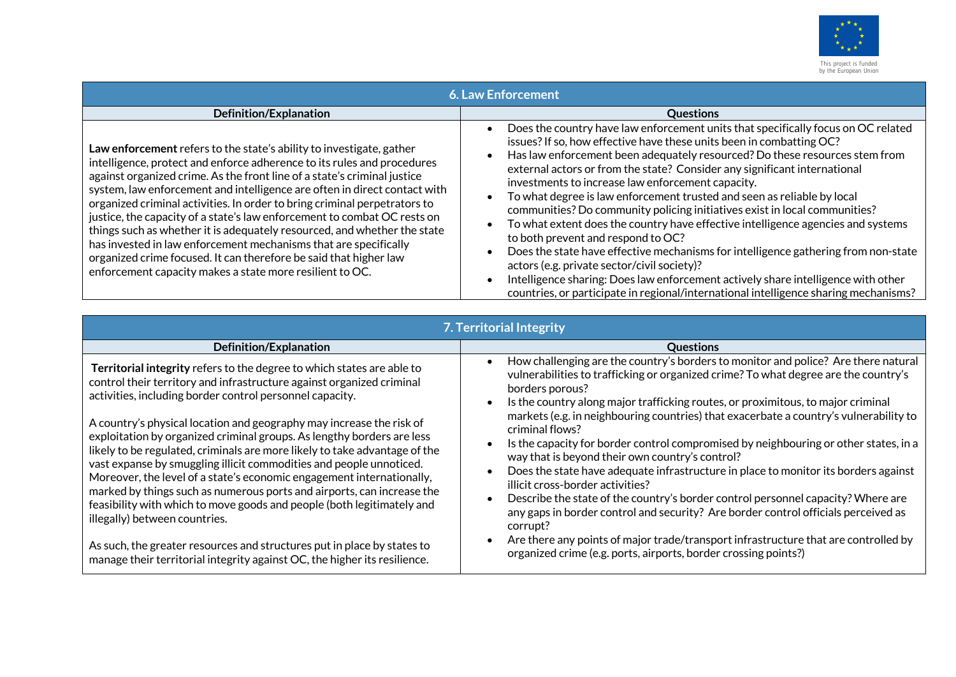

| <b>6. Law Enforcement</b>                                                                                                                                                                                                                                                                                                                                                                                                                                                                                                                                                                                                                                                                                                                          |                                                                                                                                                                                                                                                                                                                                                                                                                                                                                                                                                                                                                                                                                                                                                                                                                                                                                                                                                                                 |  |
|----------------------------------------------------------------------------------------------------------------------------------------------------------------------------------------------------------------------------------------------------------------------------------------------------------------------------------------------------------------------------------------------------------------------------------------------------------------------------------------------------------------------------------------------------------------------------------------------------------------------------------------------------------------------------------------------------------------------------------------------------|---------------------------------------------------------------------------------------------------------------------------------------------------------------------------------------------------------------------------------------------------------------------------------------------------------------------------------------------------------------------------------------------------------------------------------------------------------------------------------------------------------------------------------------------------------------------------------------------------------------------------------------------------------------------------------------------------------------------------------------------------------------------------------------------------------------------------------------------------------------------------------------------------------------------------------------------------------------------------------|--|
| <b>Definition/Explanation</b>                                                                                                                                                                                                                                                                                                                                                                                                                                                                                                                                                                                                                                                                                                                      | <b>Questions</b>                                                                                                                                                                                                                                                                                                                                                                                                                                                                                                                                                                                                                                                                                                                                                                                                                                                                                                                                                                |  |
| Law enforcement refers to the state's ability to investigate, gather<br>intelligence, protect and enforce adherence to its rules and procedures<br>against organized crime. As the front line of a state's criminal justice<br>system, law enforcement and intelligence are often in direct contact with<br>organized criminal activities. In order to bring criminal perpetrators to<br>justice, the capacity of a state's law enforcement to combat OC rests on<br>things such as whether it is adequately resourced, and whether the state<br>has invested in law enforcement mechanisms that are specifically<br>organized crime focused. It can therefore be said that higher law<br>enforcement capacity makes a state more resilient to OC. | Does the country have law enforcement units that specifically focus on OC related<br>issues? If so, how effective have these units been in combatting OC?<br>Has law enforcement been adequately resourced? Do these resources stem from<br>external actors or from the state? Consider any significant international<br>investments to increase law enforcement capacity.<br>To what degree is law enforcement trusted and seen as reliable by local<br>communities? Do community policing initiatives exist in local communities?<br>To what extent does the country have effective intelligence agencies and systems<br>to both prevent and respond to OC?<br>Does the state have effective mechanisms for intelligence gathering from non-state<br>actors (e.g. private sector/civil society)?<br>Intelligence sharing: Does law enforcement actively share intelligence with other<br>countries, or participate in regional/international intelligence sharing mechanisms? |  |

| 7. Territorial Integrity                                                                                                                                                                                                                                                                                                                                                                                                                    |                                                                                                                                                                                                                                                                                                                                                                                                                                                                                                                                         |                                                                                                                                                                                                                        |
|---------------------------------------------------------------------------------------------------------------------------------------------------------------------------------------------------------------------------------------------------------------------------------------------------------------------------------------------------------------------------------------------------------------------------------------------|-----------------------------------------------------------------------------------------------------------------------------------------------------------------------------------------------------------------------------------------------------------------------------------------------------------------------------------------------------------------------------------------------------------------------------------------------------------------------------------------------------------------------------------------|------------------------------------------------------------------------------------------------------------------------------------------------------------------------------------------------------------------------|
| <b>Definition/Explanation</b>                                                                                                                                                                                                                                                                                                                                                                                                               | <b>Questions</b>                                                                                                                                                                                                                                                                                                                                                                                                                                                                                                                        |                                                                                                                                                                                                                        |
| Territorial integrity refers to the degree to which states are able to<br>control their territory and infrastructure against organized criminal<br>activities, including border control personnel capacity.<br>A country's physical location and geography may increase the risk of<br>exploitation by organized criminal groups. As lengthy borders are less<br>likely to be regulated, criminals are more likely to take advantage of the | How challenging are the country's borders to monitor and police? Are there natural<br>vulnerabilities to trafficking or organized crime? To what degree are the country's<br>borders porous?<br>Is the country along major trafficking routes, or proximitous, to major criminal<br>markets (e.g. in neighbouring countries) that exacerbate a country's vulnerability to<br>criminal flows?<br>Is the capacity for border control compromised by neighbouring or other states, in a<br>way that is beyond their own country's control? |                                                                                                                                                                                                                        |
|                                                                                                                                                                                                                                                                                                                                                                                                                                             |                                                                                                                                                                                                                                                                                                                                                                                                                                                                                                                                         | vast expanse by smuggling illicit commodities and people unnoticed.<br>Moreover, the level of a state's economic engagement internationally,<br>marked by things such as numerous ports and airports, can increase the |
| feasibility with which to move goods and people (both legitimately and<br>illegally) between countries.                                                                                                                                                                                                                                                                                                                                     | Describe the state of the country's border control personnel capacity? Where are<br>any gaps in border control and security? Are border control officials perceived as<br>corrupt?                                                                                                                                                                                                                                                                                                                                                      |                                                                                                                                                                                                                        |
| As such, the greater resources and structures put in place by states to<br>manage their territorial integrity against OC, the higher its resilience.                                                                                                                                                                                                                                                                                        | Are there any points of major trade/transport infrastructure that are controlled by<br>organized crime (e.g. ports, airports, border crossing points?)                                                                                                                                                                                                                                                                                                                                                                                  |                                                                                                                                                                                                                        |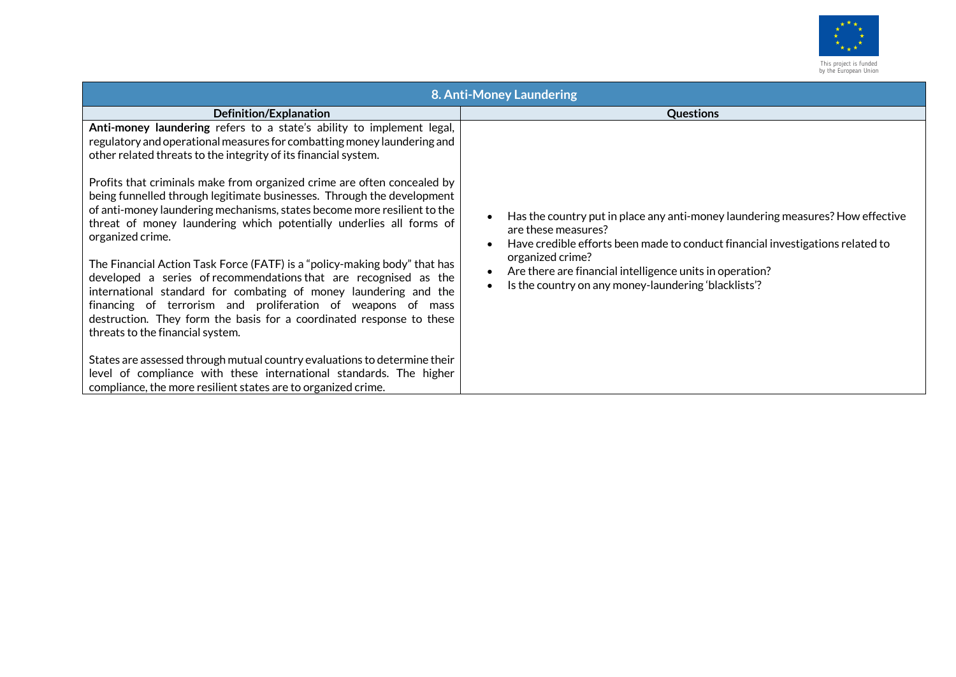

|                                                                                                                                                                                                                                                                                                                                                                                              | 8. Anti-Money Laundering                                                                                                                                                                |
|----------------------------------------------------------------------------------------------------------------------------------------------------------------------------------------------------------------------------------------------------------------------------------------------------------------------------------------------------------------------------------------------|-----------------------------------------------------------------------------------------------------------------------------------------------------------------------------------------|
| Definition/Explanation                                                                                                                                                                                                                                                                                                                                                                       | <b>Questions</b>                                                                                                                                                                        |
| Anti-money laundering refers to a state's ability to implement legal,<br>regulatory and operational measures for combatting money laundering and<br>other related threats to the integrity of its financial system.                                                                                                                                                                          |                                                                                                                                                                                         |
| Profits that criminals make from organized crime are often concealed by<br>being funnelled through legitimate businesses. Through the development<br>of anti-money laundering mechanisms, states become more resilient to the<br>threat of money laundering which potentially underlies all forms of<br>organized crime.                                                                     | Has the country put in place any anti-money laundering measures? How effective<br>are these measures?<br>Have credible efforts been made to conduct financial investigations related to |
| The Financial Action Task Force (FATF) is a "policy-making body" that has<br>developed a series of recommendations that are recognised as the<br>international standard for combating of money laundering and the<br>financing of terrorism and proliferation of weapons of mass<br>destruction. They form the basis for a coordinated response to these<br>threats to the financial system. | organized crime?<br>Are there are financial intelligence units in operation?<br>Is the country on any money-laundering 'blacklists'?                                                    |
| States are assessed through mutual country evaluations to determine their<br>level of compliance with these international standards. The higher<br>compliance, the more resilient states are to organized crime.                                                                                                                                                                             |                                                                                                                                                                                         |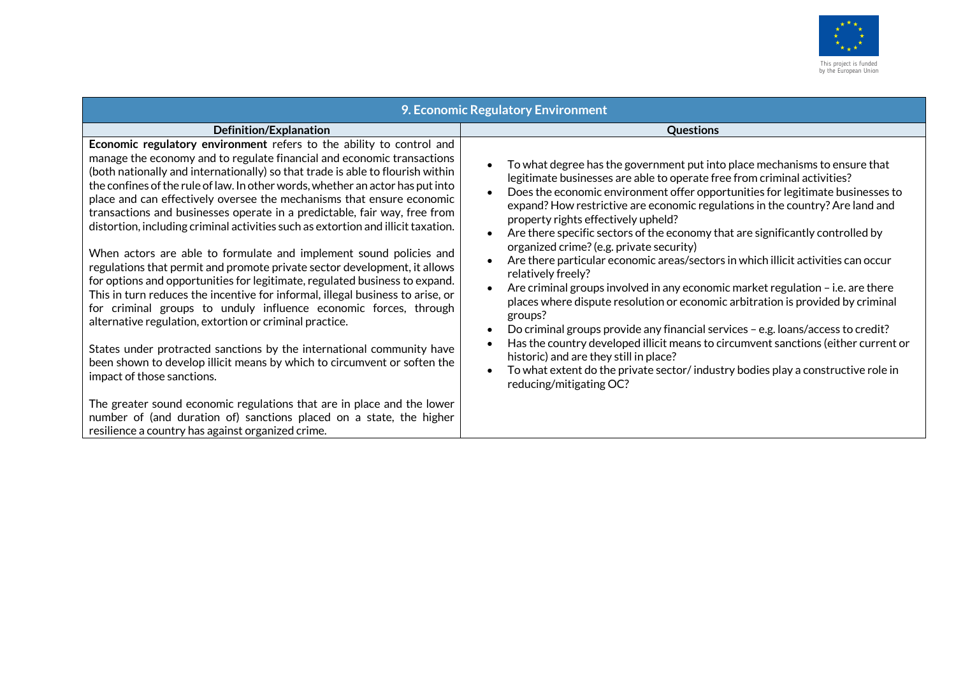

|                                                                                                                                                                                                                                                                                                                                                                                                                                                                                                                                                                                                                                                                                                                                                                                                                                                                                                                                                                                                                                                                                                                                                                                                     | 9. Economic Regulatory Environment                                                                                                                                                                                                                                                                                                                                                                                                                                                                                                                                                                                                                                                                                                                                                                                                                                                                                                                                                                                                                                                                                              |
|-----------------------------------------------------------------------------------------------------------------------------------------------------------------------------------------------------------------------------------------------------------------------------------------------------------------------------------------------------------------------------------------------------------------------------------------------------------------------------------------------------------------------------------------------------------------------------------------------------------------------------------------------------------------------------------------------------------------------------------------------------------------------------------------------------------------------------------------------------------------------------------------------------------------------------------------------------------------------------------------------------------------------------------------------------------------------------------------------------------------------------------------------------------------------------------------------------|---------------------------------------------------------------------------------------------------------------------------------------------------------------------------------------------------------------------------------------------------------------------------------------------------------------------------------------------------------------------------------------------------------------------------------------------------------------------------------------------------------------------------------------------------------------------------------------------------------------------------------------------------------------------------------------------------------------------------------------------------------------------------------------------------------------------------------------------------------------------------------------------------------------------------------------------------------------------------------------------------------------------------------------------------------------------------------------------------------------------------------|
| Definition/Explanation                                                                                                                                                                                                                                                                                                                                                                                                                                                                                                                                                                                                                                                                                                                                                                                                                                                                                                                                                                                                                                                                                                                                                                              | <b>Questions</b>                                                                                                                                                                                                                                                                                                                                                                                                                                                                                                                                                                                                                                                                                                                                                                                                                                                                                                                                                                                                                                                                                                                |
| Economic regulatory environment refers to the ability to control and<br>manage the economy and to regulate financial and economic transactions<br>(both nationally and internationally) so that trade is able to flourish within<br>the confines of the rule of law. In other words, whether an actor has put into<br>place and can effectively oversee the mechanisms that ensure economic<br>transactions and businesses operate in a predictable, fair way, free from<br>distortion, including criminal activities such as extortion and illicit taxation.<br>When actors are able to formulate and implement sound policies and<br>regulations that permit and promote private sector development, it allows<br>for options and opportunities for legitimate, regulated business to expand.<br>This in turn reduces the incentive for informal, illegal business to arise, or<br>for criminal groups to unduly influence economic forces, through<br>alternative regulation, extortion or criminal practice.<br>States under protracted sanctions by the international community have<br>been shown to develop illicit means by which to circumvent or soften the<br>impact of those sanctions. | To what degree has the government put into place mechanisms to ensure that<br>legitimate businesses are able to operate free from criminal activities?<br>Does the economic environment offer opportunities for legitimate businesses to<br>expand? How restrictive are economic regulations in the country? Are land and<br>property rights effectively upheld?<br>Are there specific sectors of the economy that are significantly controlled by<br>organized crime? (e.g. private security)<br>Are there particular economic areas/sectors in which illicit activities can occur<br>relatively freely?<br>Are criminal groups involved in any economic market regulation $-$ i.e. are there<br>places where dispute resolution or economic arbitration is provided by criminal<br>groups?<br>Do criminal groups provide any financial services - e.g. loans/access to credit?<br>Has the country developed illicit means to circumvent sanctions (either current or<br>historic) and are they still in place?<br>To what extent do the private sector/industry bodies play a constructive role in<br>reducing/mitigating OC? |
| The greater sound economic regulations that are in place and the lower<br>number of (and duration of) sanctions placed on a state, the higher<br>resilience a country has against organized crime.                                                                                                                                                                                                                                                                                                                                                                                                                                                                                                                                                                                                                                                                                                                                                                                                                                                                                                                                                                                                  |                                                                                                                                                                                                                                                                                                                                                                                                                                                                                                                                                                                                                                                                                                                                                                                                                                                                                                                                                                                                                                                                                                                                 |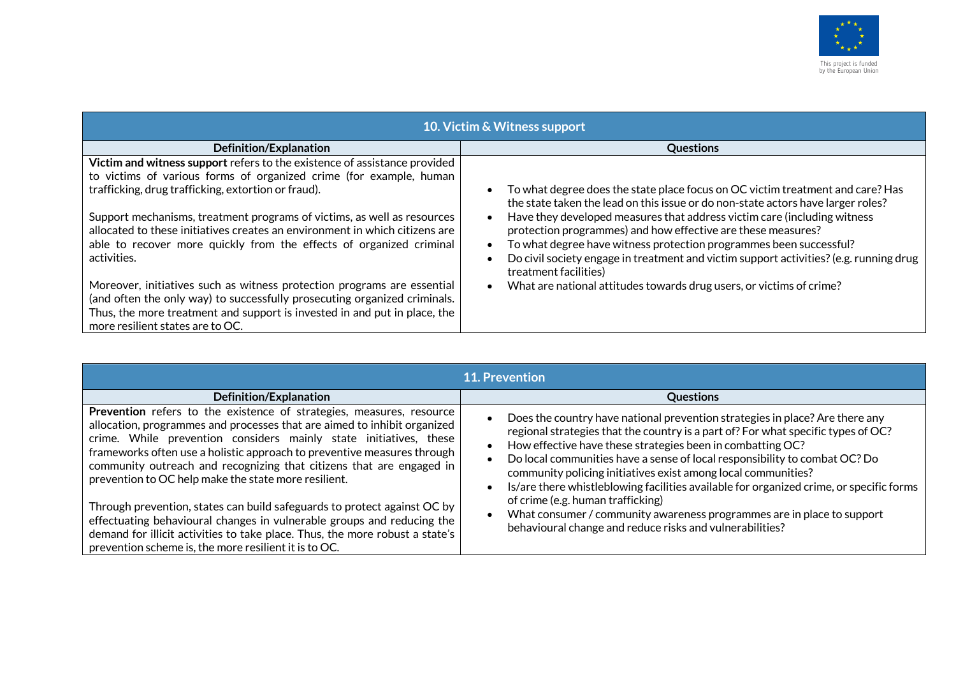

| 10. Victim & Witness support                                                                                                                           |                                                                                                                                                                    |  |
|--------------------------------------------------------------------------------------------------------------------------------------------------------|--------------------------------------------------------------------------------------------------------------------------------------------------------------------|--|
| Definition/Explanation                                                                                                                                 | <b>Questions</b>                                                                                                                                                   |  |
| Victim and witness support refers to the existence of assistance provided                                                                              |                                                                                                                                                                    |  |
| to victims of various forms of organized crime (for example, human                                                                                     |                                                                                                                                                                    |  |
| trafficking, drug trafficking, extortion or fraud).                                                                                                    | To what degree does the state place focus on OC victim treatment and care? Has<br>the state taken the lead on this issue or do non-state actors have larger roles? |  |
| Support mechanisms, treatment programs of victims, as well as resources<br>allocated to these initiatives creates an environment in which citizens are | Have they developed measures that address victim care (including witness                                                                                           |  |
| able to recover more quickly from the effects of organized criminal                                                                                    | protection programmes) and how effective are these measures?<br>To what degree have witness protection programmes been successful?                                 |  |
| activities.                                                                                                                                            | Do civil society engage in treatment and victim support activities? (e.g. running drug                                                                             |  |
|                                                                                                                                                        | treatment facilities)                                                                                                                                              |  |
| Moreover, initiatives such as witness protection programs are essential                                                                                | What are national attitudes towards drug users, or victims of crime?                                                                                               |  |
| (and often the only way) to successfully prosecuting organized criminals.                                                                              |                                                                                                                                                                    |  |
| Thus, the more treatment and support is invested in and put in place, the                                                                              |                                                                                                                                                                    |  |
| more resilient states are to OC.                                                                                                                       |                                                                                                                                                                    |  |

| <b>11. Prevention</b>                                                                                                                                                                                                                                                                                                                                                                                                                                                                                                                                                                                                                                                                                                           |                                                                                                                                                                                                                                                                                                                                                                                                                                                                                                                                                                                                                                                      |  |
|---------------------------------------------------------------------------------------------------------------------------------------------------------------------------------------------------------------------------------------------------------------------------------------------------------------------------------------------------------------------------------------------------------------------------------------------------------------------------------------------------------------------------------------------------------------------------------------------------------------------------------------------------------------------------------------------------------------------------------|------------------------------------------------------------------------------------------------------------------------------------------------------------------------------------------------------------------------------------------------------------------------------------------------------------------------------------------------------------------------------------------------------------------------------------------------------------------------------------------------------------------------------------------------------------------------------------------------------------------------------------------------------|--|
| Definition/Explanation                                                                                                                                                                                                                                                                                                                                                                                                                                                                                                                                                                                                                                                                                                          | <b>Questions</b>                                                                                                                                                                                                                                                                                                                                                                                                                                                                                                                                                                                                                                     |  |
| Prevention refers to the existence of strategies, measures, resource<br>allocation, programmes and processes that are aimed to inhibit organized<br>crime. While prevention considers mainly state initiatives, these<br>frameworks often use a holistic approach to preventive measures through<br>community outreach and recognizing that citizens that are engaged in<br>prevention to OC help make the state more resilient.<br>Through prevention, states can build safeguards to protect against OC by<br>effectuating behavioural changes in vulnerable groups and reducing the<br>demand for illicit activities to take place. Thus, the more robust a state's<br>prevention scheme is, the more resilient it is to OC. | Does the country have national prevention strategies in place? Are there any<br>regional strategies that the country is a part of? For what specific types of OC?<br>How effective have these strategies been in combatting OC?<br>Do local communities have a sense of local responsibility to combat OC? Do<br>community policing initiatives exist among local communities?<br>Is/are there whistleblowing facilities available for organized crime, or specific forms<br>of crime (e.g. human trafficking)<br>What consumer / community awareness programmes are in place to support<br>behavioural change and reduce risks and vulnerabilities? |  |